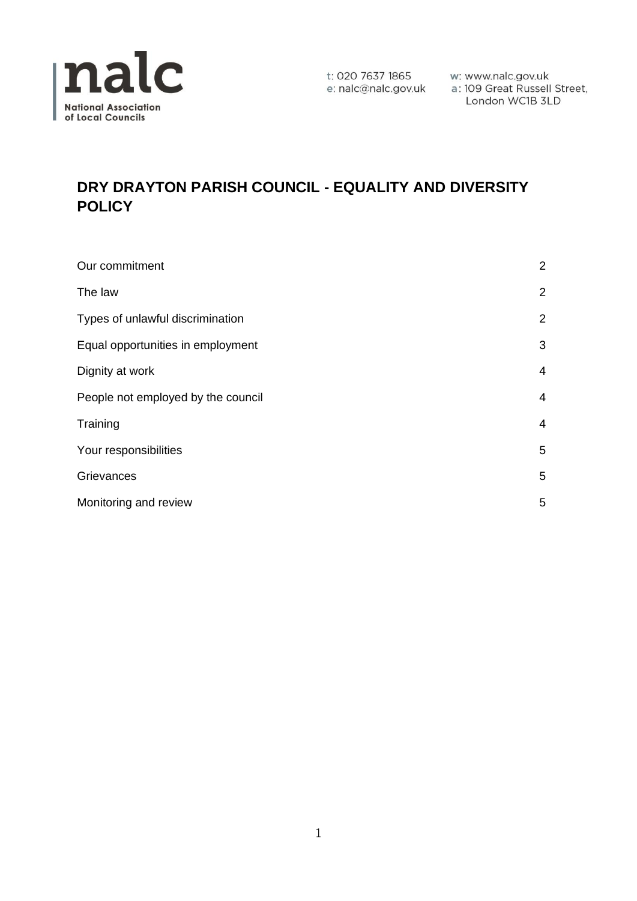

t: 020 7637 1865 w: www.nalc.gov.uk<br>e: nalc@nalc.gov.uk a : 109 Great Russell Street, London WC1B 3LD

# **DRY DRAYTON PARISH COUNCIL - EQUALITY AND DIVERSITY POLICY**

| Our commitment                     | $\overline{2}$ |
|------------------------------------|----------------|
| The law                            | $\overline{2}$ |
| Types of unlawful discrimination   | $\overline{2}$ |
| Equal opportunities in employment  | 3              |
| Dignity at work                    | 4              |
| People not employed by the council | 4              |
| Training                           | 4              |
| Your responsibilities              | 5              |
| Grievances                         | 5              |
| Monitoring and review              | 5              |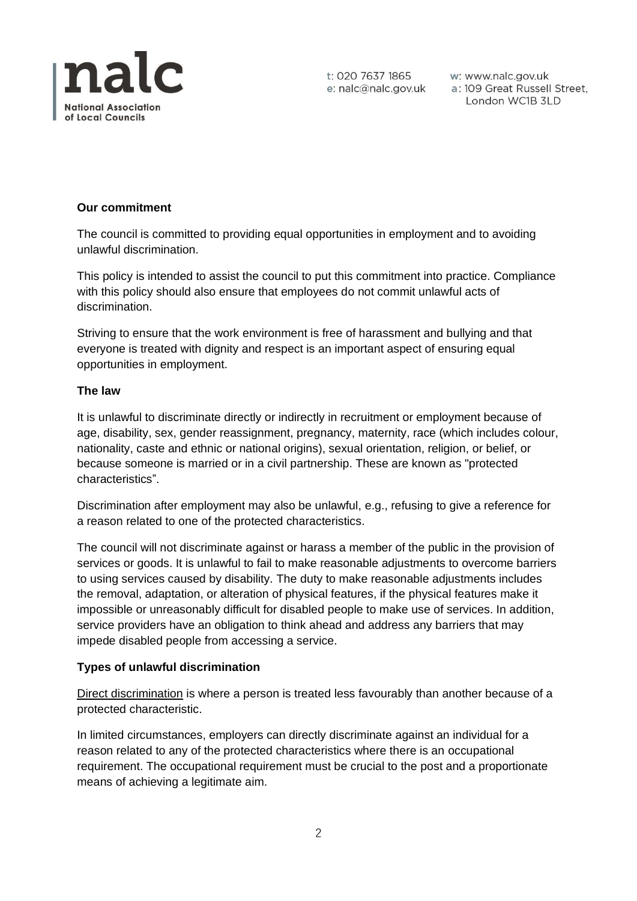

w: www.nalc.gov.uk a: 109 Great Russell Street, London WC1B 3LD

## **Our commitment**

The council is committed to providing equal opportunities in employment and to avoiding unlawful discrimination.

This policy is intended to assist the council to put this commitment into practice. Compliance with this policy should also ensure that employees do not commit unlawful acts of discrimination.

Striving to ensure that the work environment is free of harassment and bullying and that everyone is treated with dignity and respect is an important aspect of ensuring equal opportunities in employment.

## **The law**

It is unlawful to discriminate directly or indirectly in recruitment or employment because of age, disability, sex, gender reassignment, pregnancy, maternity, race (which includes colour, nationality, caste and ethnic or national origins), sexual orientation, religion, or belief, or because someone is married or in a civil partnership. These are known as "protected characteristics".

Discrimination after employment may also be unlawful, e.g., refusing to give a reference for a reason related to one of the protected characteristics.

The council will not discriminate against or harass a member of the public in the provision of services or goods. It is unlawful to fail to make reasonable adjustments to overcome barriers to using services caused by disability. The duty to make reasonable adjustments includes the removal, adaptation, or alteration of physical features, if the physical features make it impossible or unreasonably difficult for disabled people to make use of services. In addition, service providers have an obligation to think ahead and address any barriers that may impede disabled people from accessing a service.

## **Types of unlawful discrimination**

Direct discrimination is where a person is treated less favourably than another because of a protected characteristic.

In limited circumstances, employers can directly discriminate against an individual for a reason related to any of the protected characteristics where there is an occupational requirement. The occupational requirement must be crucial to the post and a proportionate means of achieving a legitimate aim.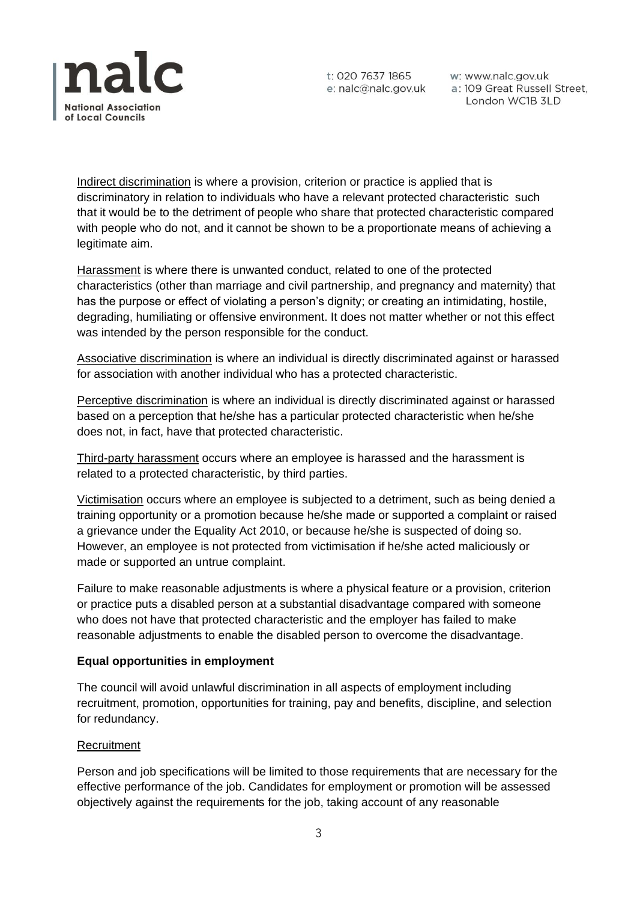

w: www.nalc.gov.uk a: 109 Great Russell Street, London WC1B 3LD

Indirect discrimination is where a provision, criterion or practice is applied that is discriminatory in relation to individuals who have a relevant protected characteristic such that it would be to the detriment of people who share that protected characteristic compared with people who do not, and it cannot be shown to be a proportionate means of achieving a legitimate aim.

Harassment is where there is unwanted conduct, related to one of the protected characteristics (other than marriage and civil partnership, and pregnancy and maternity) that has the purpose or effect of violating a person's dignity; or creating an intimidating, hostile, degrading, humiliating or offensive environment. It does not matter whether or not this effect was intended by the person responsible for the conduct.

Associative discrimination is where an individual is directly discriminated against or harassed for association with another individual who has a protected characteristic.

Perceptive discrimination is where an individual is directly discriminated against or harassed based on a perception that he/she has a particular protected characteristic when he/she does not, in fact, have that protected characteristic.

Third-party harassment occurs where an employee is harassed and the harassment is related to a protected characteristic, by third parties.

Victimisation occurs where an employee is subjected to a detriment, such as being denied a training opportunity or a promotion because he/she made or supported a complaint or raised a grievance under the Equality Act 2010, or because he/she is suspected of doing so. However, an employee is not protected from victimisation if he/she acted maliciously or made or supported an untrue complaint.

Failure to make reasonable adjustments is where a physical feature or a provision, criterion or practice puts a disabled person at a substantial disadvantage compared with someone who does not have that protected characteristic and the employer has failed to make reasonable adjustments to enable the disabled person to overcome the disadvantage.

## **Equal opportunities in employment**

The council will avoid unlawful discrimination in all aspects of employment including recruitment, promotion, opportunities for training, pay and benefits, discipline, and selection for redundancy.

## Recruitment

Person and job specifications will be limited to those requirements that are necessary for the effective performance of the job. Candidates for employment or promotion will be assessed objectively against the requirements for the job, taking account of any reasonable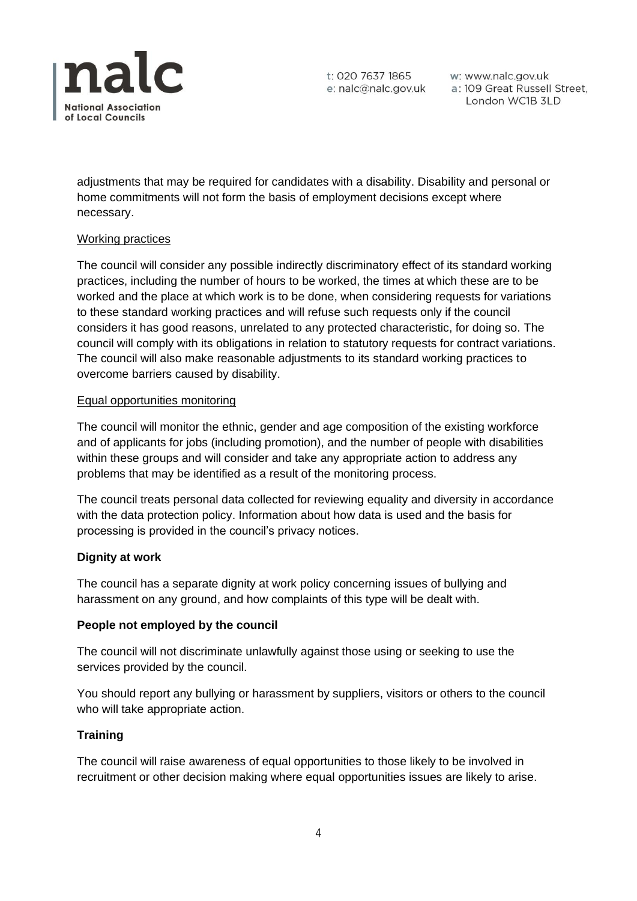

w: www.nalc.gov.uk a: 109 Great Russell Street, London WC1B 3LD

adjustments that may be required for candidates with a disability. Disability and personal or home commitments will not form the basis of employment decisions except where necessary.

## Working practices

The council will consider any possible indirectly discriminatory effect of its standard working practices, including the number of hours to be worked, the times at which these are to be worked and the place at which work is to be done, when considering requests for variations to these standard working practices and will refuse such requests only if the council considers it has good reasons, unrelated to any protected characteristic, for doing so. The council will comply with its obligations in relation to statutory requests for contract variations. The council will also make reasonable adjustments to its standard working practices to overcome barriers caused by disability.

## Equal opportunities monitoring

The council will monitor the ethnic, gender and age composition of the existing workforce and of applicants for jobs (including promotion), and the number of people with disabilities within these groups and will consider and take any appropriate action to address any problems that may be identified as a result of the monitoring process.

The council treats personal data collected for reviewing equality and diversity in accordance with the data protection policy. Information about how data is used and the basis for processing is provided in the council's privacy notices.

# **Dignity at work**

The council has a separate dignity at work policy concerning issues of bullying and harassment on any ground, and how complaints of this type will be dealt with.

## **People not employed by the council**

The council will not discriminate unlawfully against those using or seeking to use the services provided by the council.

You should report any bullying or harassment by suppliers, visitors or others to the council who will take appropriate action.

# **Training**

The council will raise awareness of equal opportunities to those likely to be involved in recruitment or other decision making where equal opportunities issues are likely to arise.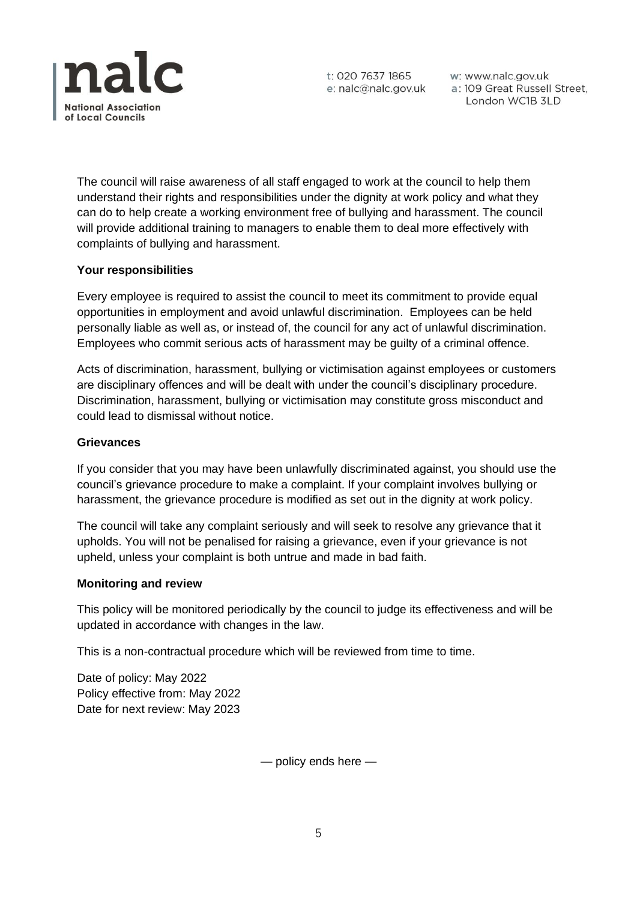

t: 020 7637 1865

w: www.nalc.gov.uk London WC1B 3LD

The council will raise awareness of all staff engaged to work at the council to help them understand their rights and responsibilities under the dignity at work policy and what they can do to help create a working environment free of bullying and harassment. The council will provide additional training to managers to enable them to deal more effectively with complaints of bullying and harassment.

## **Your responsibilities**

Every employee is required to assist the council to meet its commitment to provide equal opportunities in employment and avoid unlawful discrimination. Employees can be held personally liable as well as, or instead of, the council for any act of unlawful discrimination. Employees who commit serious acts of harassment may be guilty of a criminal offence.

Acts of discrimination, harassment, bullying or victimisation against employees or customers are disciplinary offences and will be dealt with under the council's disciplinary procedure. Discrimination, harassment, bullying or victimisation may constitute gross misconduct and could lead to dismissal without notice.

## **Grievances**

If you consider that you may have been unlawfully discriminated against, you should use the council's grievance procedure to make a complaint. If your complaint involves bullying or harassment, the grievance procedure is modified as set out in the dignity at work policy.

The council will take any complaint seriously and will seek to resolve any grievance that it upholds. You will not be penalised for raising a grievance, even if your grievance is not upheld, unless your complaint is both untrue and made in bad faith.

## **Monitoring and review**

This policy will be monitored periodically by the council to judge its effectiveness and will be updated in accordance with changes in the law.

This is a non-contractual procedure which will be reviewed from time to time.

Date of policy: May 2022 Policy effective from: May 2022 Date for next review: May 2023

— policy ends here —